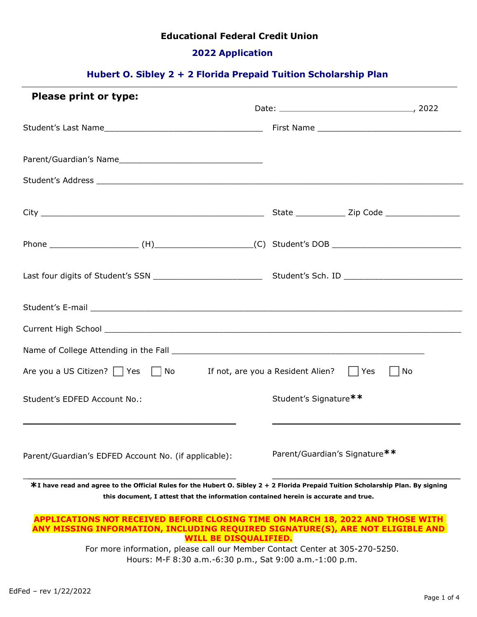# **Educational Federal Credit Union**

# **2022 Application**

# **Hubert O. Sibley 2 + 2 Florida Prepaid Tuition Scholarship Plan**

| Please print or type:                                                                 |                                   | Date: 2022 |
|---------------------------------------------------------------------------------------|-----------------------------------|------------|
|                                                                                       |                                   |            |
|                                                                                       |                                   |            |
|                                                                                       |                                   |            |
|                                                                                       |                                   |            |
|                                                                                       |                                   |            |
|                                                                                       |                                   |            |
| Student's E-mail experience and the students of the students of the student's E-mail. |                                   |            |
|                                                                                       |                                   |            |
|                                                                                       |                                   |            |
| Are you a US Citizen? $\Box$ Yes $\Box$ No                                            | If not, are you a Resident Alien? | Yes<br>No  |
| Student's EDFED Account No.:                                                          | Student's Signature**             |            |
| Parent/Guardian's EDFED Account No. (if applicable):                                  | Parent/Guardian's Signature**     |            |

**this document, I attest that the information contained herein is accurate and true.**

#### **APPLICATIONS NOT RECEIVED BEFORE CLOSING TIME ON MARCH 18, 2022 AND THOSE WITH ANY MISSING INFORMATION, INCLUDING REQUIRED SIGNATURE(S), ARE NOT ELIGIBLE AND WILL BE DISQUALIFIED.**

For more information, please call our Member Contact Center at 305-270-5250. Hours: M-F 8:30 a.m.-6:30 p.m., Sat 9:00 a.m.-1:00 p.m.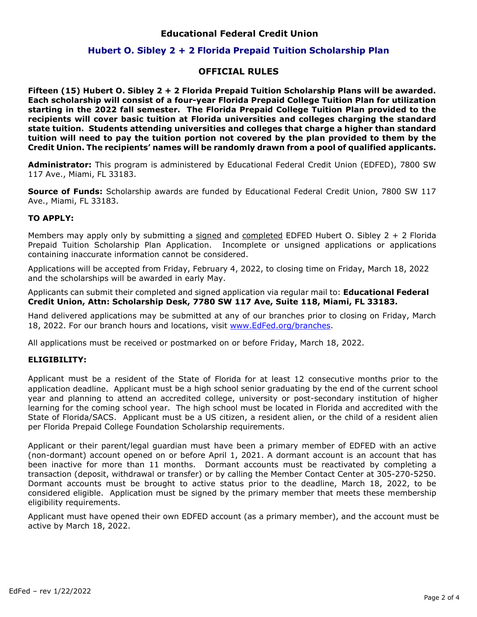## **Educational Federal Credit Union**

## **Hubert O. Sibley 2 + 2 Florida Prepaid Tuition Scholarship Plan**

## **OFFICIAL RULES**

**Fifteen (15) Hubert O. Sibley 2 + 2 Florida Prepaid Tuition Scholarship Plans will be awarded. Each scholarship will consist of a four-year Florida Prepaid College Tuition Plan for utilization starting in the 2022 fall semester. The Florida Prepaid College Tuition Plan provided to the recipients will cover basic tuition at Florida universities and colleges charging the standard state tuition. Students attending universities and colleges that charge a higher than standard tuition will need to pay the tuition portion not covered by the plan provided to them by the Credit Union. The recipients' names will be randomly drawn from a pool of qualified applicants.**

**Administrator:** This program is administered by Educational Federal Credit Union (EDFED), 7800 SW 117 Ave., Miami, FL 33183.

**Source of Funds:** Scholarship awards are funded by Educational Federal Credit Union, 7800 SW 117 Ave., Miami, FL 33183.

#### **TO APPLY:**

Members may apply only by submitting a signed and completed EDFED Hubert O. Sibley  $2 + 2$  Florida Prepaid Tuition Scholarship Plan Application. Incomplete or unsigned applications or applications containing inaccurate information cannot be considered.

Applications will be accepted from Friday, February 4, 2022, to closing time on Friday, March 18, 2022 and the scholarships will be awarded in early May.

Applicants can submit their completed and signed application via regular mail to: **Educational Federal Credit Union, Attn: Scholarship Desk, 7780 SW 117 Ave, Suite 118, Miami, FL 33183.**

Hand delivered applications may be submitted at any of our branches prior to closing on Friday, March 18, 2022. For our branch hours and locations, visit [www.EdFed.org/branches.](http://www.sfefcu.org/branches)

All applications must be received or postmarked on or before Friday, March 18, 2022.

### **ELIGIBILITY:**

Applicant must be a resident of the State of Florida for at least 12 consecutive months prior to the application deadline. Applicant must be a high school senior graduating by the end of the current school year and planning to attend an accredited college, university or post-secondary institution of higher learning for the coming school year. The high school must be located in Florida and accredited with the State of Florida/SACS. Applicant must be a US citizen, a resident alien, or the child of a resident alien per Florida Prepaid College Foundation Scholarship requirements.

Applicant or their parent/legal guardian must have been a primary member of EDFED with an active (non-dormant) account opened on or before April 1, 2021. A dormant account is an account that has been inactive for more than 11 months. Dormant accounts must be reactivated by completing a transaction (deposit, withdrawal or transfer) or by calling the Member Contact Center at 305-270-5250. Dormant accounts must be brought to active status prior to the deadline, March 18, 2022, to be considered eligible. Application must be signed by the primary member that meets these membership eligibility requirements.

Applicant must have opened their own EDFED account (as a primary member), and the account must be active by March 18, 2022.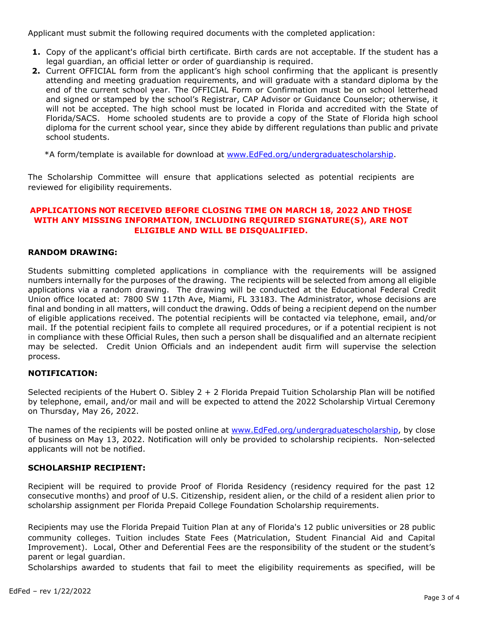Applicant must submit the following required documents with the completed application:

- **1.** Copy of the applicant's official birth certificate. Birth cards are not acceptable. If the student has a legal guardian, an official letter or order of guardianship is required.
- **2.** Current OFFICIAL form from the applicant's high school confirming that the applicant is presently attending and meeting graduation requirements, and will graduate with a standard diploma by the end of the current school year. The OFFICIAL Form or Confirmation must be on school letterhead and signed or stamped by the school's Registrar, CAP Advisor or Guidance Counselor; otherwise, it will not be accepted. The high school must be located in Florida and accredited with the State of Florida/SACS. Home schooled students are to provide a copy of the State of Florida high school diploma for the current school year, since they abide by different regulations than public and private school students.

\*A form/template is available for download at [www.EdFed.org/undergraduatescholarship.](https://www.sfefcu.org/undergraduatescholarship)

The Scholarship Committee will ensure that applications selected as potential recipients are reviewed for eligibility requirements.

## **APPLICATIONS NOT RECEIVED BEFORE CLOSING TIME ON MARCH 18, 2022 AND THOSE WITH ANY MISSING INFORMATION, INCLUDING REQUIRED SIGNATURE(S), ARE NOT ELIGIBLE AND WILL BE DISQUALIFIED.**

#### **RANDOM DRAWING:**

Students submitting completed applications in compliance with the requirements will be assigned numbers internally for the purposes of the drawing. The recipients will be selected from among all eligible applications via a random drawing. The drawing will be conducted at the Educational Federal Credit Union office located at: 7800 SW 117th Ave, Miami, FL 33183. The Administrator, whose decisions are final and bonding in all matters, will conduct the drawing. Odds of being a recipient depend on the number of eligible applications received. The potential recipients will be contacted via telephone, email, and/or mail. If the potential recipient fails to complete all required procedures, or if a potential recipient is not in compliance with these Official Rules, then such a person shall be disqualified and an alternate recipient may be selected. Credit Union Officials and an independent audit firm will supervise the selection process.

### **NOTIFICATION:**

Selected recipients of the Hubert O. Sibley 2 + 2 Florida Prepaid Tuition Scholarship Plan will be notified by telephone, email, and/or mail and will be expected to attend the 2022 Scholarship Virtual Ceremony on Thursday, May 26, 2022.

The names of the recipients will be posted online at www.EdFed.org/undergraduatescholarship, by close of business on May 13, 2022. Notification will only be provided to scholarship recipients. Non-selected applicants will not be notified.

#### **SCHOLARSHIP RECIPIENT:**

Recipient will be required to provide Proof of Florida Residency (residency required for the past 12 consecutive months) and proof of U.S. Citizenship, resident alien, or the child of a resident alien prior to scholarship assignment per Florida Prepaid College Foundation Scholarship requirements.

Recipients may use the Florida Prepaid Tuition Plan at any of Florida's 12 public universities or 28 public community colleges. Tuition includes State Fees (Matriculation, Student Financial Aid and Capital Improvement). Local, Other and Deferential Fees are the responsibility of the student or the student's parent or legal guardian.

Scholarships awarded to students that fail to meet the eligibility requirements as specified, will be